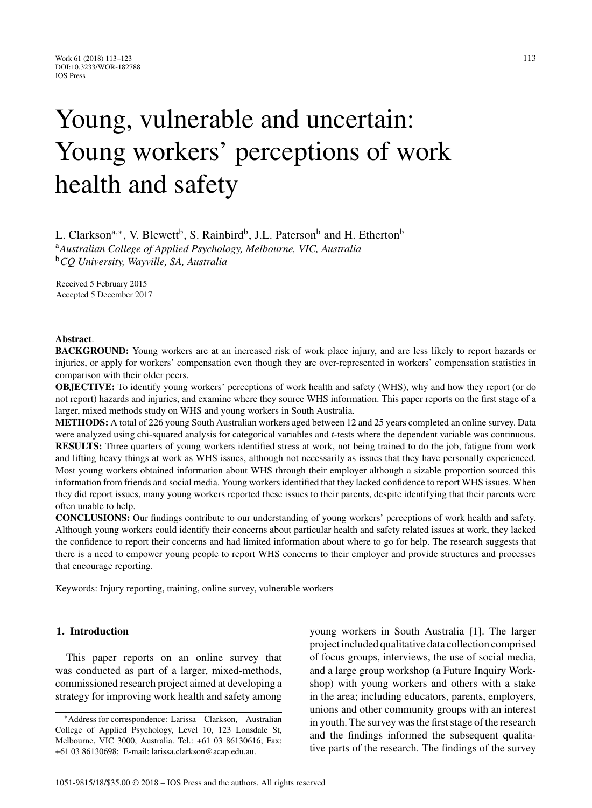# Young, vulnerable and uncertain: Young workers' perceptions of work health and safety

L. Clarkson<sup>a,∗</sup>, V. Blewett<sup>b</sup>, S. Rainbird<sup>b</sup>, J.L. Paterson<sup>b</sup> and H. Etherton<sup>b</sup> <sup>a</sup>*Australian College of Applied Psychology, Melbourne, VIC, Australia* <sup>b</sup>*CQ University, Wayville, SA, Australia*

Received 5 February 2015 Accepted 5 December 2017

## **Abstract**.

**BACKGROUND:** Young workers are at an increased risk of work place injury, and are less likely to report hazards or injuries, or apply for workers' compensation even though they are over-represented in workers' compensation statistics in comparison with their older peers.

**OBJECTIVE:** To identify young workers' perceptions of work health and safety (WHS), why and how they report (or do not report) hazards and injuries, and examine where they source WHS information. This paper reports on the first stage of a larger, mixed methods study on WHS and young workers in South Australia.

**METHODS:** A total of 226 young South Australian workers aged between 12 and 25 years completed an online survey. Data were analyzed using chi-squared analysis for categorical variables and *t*-tests where the dependent variable was continuous. **RESULTS:** Three quarters of young workers identified stress at work, not being trained to do the job, fatigue from work and lifting heavy things at work as WHS issues, although not necessarily as issues that they have personally experienced. Most young workers obtained information about WHS through their employer although a sizable proportion sourced this information from friends and social media. Young workers identified that they lacked confidence to report WHS issues. When they did report issues, many young workers reported these issues to their parents, despite identifying that their parents were often unable to help.

**CONCLUSIONS:** Our findings contribute to our understanding of young workers' perceptions of work health and safety. Although young workers could identify their concerns about particular health and safety related issues at work, they lacked the confidence to report their concerns and had limited information about where to go for help. The research suggests that there is a need to empower young people to report WHS concerns to their employer and provide structures and processes that encourage reporting.

Keywords: Injury reporting, training, online survey, vulnerable workers

## **1. Introduction**

This paper reports on an online survey that was conducted as part of a larger, mixed-methods, commissioned research project aimed at developing a strategy for improving work health and safety among

young workers in South Australia [1]. The larger project included qualitative data collection comprised of focus groups, interviews, the use of social media, and a large group workshop (a Future Inquiry Workshop) with young workers and others with a stake in the area; including educators, parents, employers, unions and other community groups with an interest in youth. The survey was the first stage of the research and the findings informed the subsequent qualitative parts of the research. The findings of the survey

<sup>∗</sup>Address for correspondence: Larissa Clarkson, Australian College of Applied Psychology, Level 10, 123 Lonsdale St, Melbourne, VIC 3000, Australia. Tel.: +61 03 86130616; Fax: +61 03 86130698; E-mail: [larissa.clarkson@acap.edu.au.](mailto:larissa.clarkson@acap.edu.au)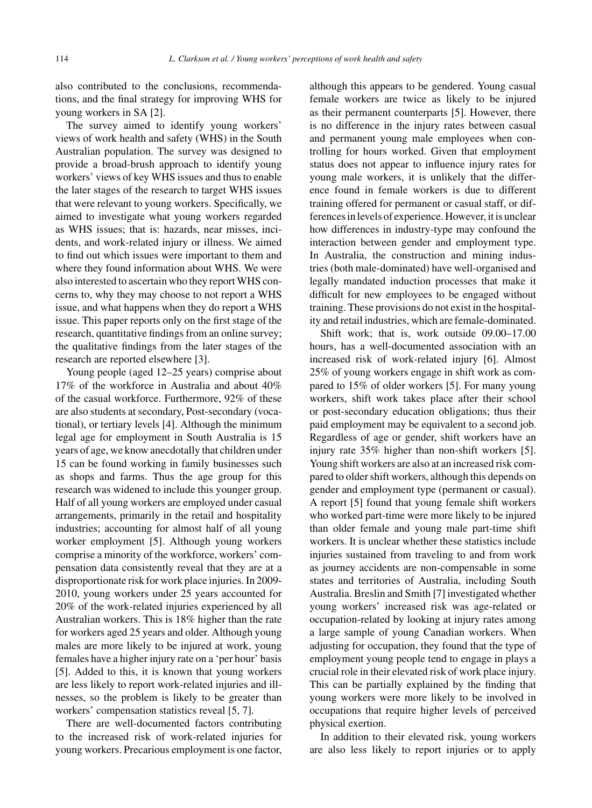also contributed to the conclusions, recommendations, and the final strategy for improving WHS for young workers in SA [2].

The survey aimed to identify young workers' views of work health and safety (WHS) in the South Australian population. The survey was designed to provide a broad-brush approach to identify young workers' views of key WHS issues and thus to enable the later stages of the research to target WHS issues that were relevant to young workers. Specifically, we aimed to investigate what young workers regarded as WHS issues; that is: hazards, near misses, incidents, and work-related injury or illness. We aimed to find out which issues were important to them and where they found information about WHS. We were also interested to ascertain who they report WHS concerns to, why they may choose to not report a WHS issue, and what happens when they do report a WHS issue. This paper reports only on the first stage of the research, quantitative findings from an online survey; the qualitative findings from the later stages of the research are reported elsewhere [3].

Young people (aged 12–25 years) comprise about 17% of the workforce in Australia and about 40% of the casual workforce. Furthermore, 92% of these are also students at secondary, Post-secondary (vocational), or tertiary levels [4]. Although the minimum legal age for employment in South Australia is 15 years of age, we know anecdotally that children under 15 can be found working in family businesses such as shops and farms. Thus the age group for this research was widened to include this younger group. Half of all young workers are employed under casual arrangements, primarily in the retail and hospitality industries; accounting for almost half of all young worker employment [5]. Although young workers comprise a minority of the workforce, workers' compensation data consistently reveal that they are at a disproportionate risk for work place injuries. In 2009- 2010, young workers under 25 years accounted for 20% of the work-related injuries experienced by all Australian workers. This is 18% higher than the rate for workers aged 25 years and older. Although young males are more likely to be injured at work, young females have a higher injury rate on a 'per hour' basis [5]. Added to this, it is known that young workers are less likely to report work-related injuries and illnesses, so the problem is likely to be greater than workers' compensation statistics reveal [5, 7].

There are well-documented factors contributing to the increased risk of work-related injuries for young workers. Precarious employment is one factor,

although this appears to be gendered. Young casual female workers are twice as likely to be injured as their permanent counterparts [5]. However, there is no difference in the injury rates between casual and permanent young male employees when controlling for hours worked. Given that employment status does not appear to influence injury rates for young male workers, it is unlikely that the difference found in female workers is due to different training offered for permanent or casual staff, or differences in levels of experience. However, it is unclear how differences in industry-type may confound the interaction between gender and employment type. In Australia, the construction and mining industries (both male-dominated) have well-organised and legally mandated induction processes that make it difficult for new employees to be engaged without training. These provisions do not exist in the hospitality and retail industries, which are female-dominated.

Shift work; that is, work outside 09.00–17.00 hours, has a well-documented association with an increased risk of work-related injury [6]. Almost 25% of young workers engage in shift work as compared to 15% of older workers [5]. For many young workers, shift work takes place after their school or post-secondary education obligations; thus their paid employment may be equivalent to a second job. Regardless of age or gender, shift workers have an injury rate 35% higher than non-shift workers [5]. Young shift workers are also at an increased risk compared to older shift workers, although this depends on gender and employment type (permanent or casual). A report [5] found that young female shift workers who worked part-time were more likely to be injured than older female and young male part-time shift workers. It is unclear whether these statistics include injuries sustained from traveling to and from work as journey accidents are non-compensable in some states and territories of Australia, including South Australia. Breslin and Smith [7] investigated whether young workers' increased risk was age-related or occupation-related by looking at injury rates among a large sample of young Canadian workers. When adjusting for occupation, they found that the type of employment young people tend to engage in plays a crucial role in their elevated risk of work place injury. This can be partially explained by the finding that young workers were more likely to be involved in occupations that require higher levels of perceived physical exertion.

In addition to their elevated risk, young workers are also less likely to report injuries or to apply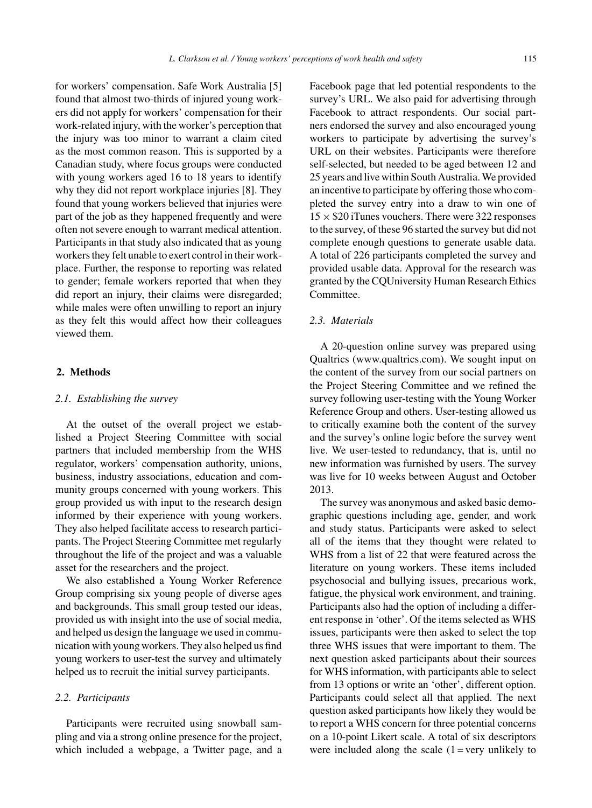for workers' compensation. Safe Work Australia [5] found that almost two-thirds of injured young workers did not apply for workers' compensation for their work-related injury, with the worker's perception that the injury was too minor to warrant a claim cited as the most common reason. This is supported by a Canadian study, where focus groups were conducted with young workers aged 16 to 18 years to identify why they did not report workplace injuries [8]. They found that young workers believed that injuries were part of the job as they happened frequently and were often not severe enough to warrant medical attention. Participants in that study also indicated that as young workers they felt unable to exert control in their workplace. Further, the response to reporting was related to gender; female workers reported that when they did report an injury, their claims were disregarded; while males were often unwilling to report an injury as they felt this would affect how their colleagues viewed them.

#### **2. Methods**

#### *2.1. Establishing the survey*

At the outset of the overall project we established a Project Steering Committee with social partners that included membership from the WHS regulator, workers' compensation authority, unions, business, industry associations, education and community groups concerned with young workers. This group provided us with input to the research design informed by their experience with young workers. They also helped facilitate access to research participants. The Project Steering Committee met regularly throughout the life of the project and was a valuable asset for the researchers and the project.

We also established a Young Worker Reference Group comprising six young people of diverse ages and backgrounds. This small group tested our ideas, provided us with insight into the use of social media, and helped us design the language we used in communication with young workers. They also helped us find young workers to user-test the survey and ultimately helped us to recruit the initial survey participants.

#### *2.2. Participants*

Participants were recruited using snowball sampling and via a strong online presence for the project, which included a webpage, a Twitter page, and a Facebook page that led potential respondents to the survey's URL. We also paid for advertising through Facebook to attract respondents. Our social partners endorsed the survey and also encouraged young workers to participate by advertising the survey's URL on their websites. Participants were therefore self-selected, but needed to be aged between 12 and 25 years and live within South Australia. We provided an incentive to participate by offering those who completed the survey entry into a draw to win one of  $15 \times $20$  iTunes vouchers. There were 322 responses to the survey, of these 96 started the survey but did not complete enough questions to generate usable data. A total of 226 participants completed the survey and provided usable data. Approval for the research was granted by the CQUniversity Human Research Ethics Committee.

#### *2.3. Materials*

A 20-question online survey was prepared using Qualtrics (www.qualtrics.com). We sought input on the content of the survey from our social partners on the Project Steering Committee and we refined the survey following user-testing with the Young Worker Reference Group and others. User-testing allowed us to critically examine both the content of the survey and the survey's online logic before the survey went live. We user-tested to redundancy, that is, until no new information was furnished by users. The survey was live for 10 weeks between August and October 2013.

The survey was anonymous and asked basic demographic questions including age, gender, and work and study status. Participants were asked to select all of the items that they thought were related to WHS from a list of 22 that were featured across the literature on young workers. These items included psychosocial and bullying issues, precarious work, fatigue, the physical work environment, and training. Participants also had the option of including a different response in 'other'. Of the items selected as WHS issues, participants were then asked to select the top three WHS issues that were important to them. The next question asked participants about their sources for WHS information, with participants able to select from 13 options or write an 'other', different option. Participants could select all that applied. The next question asked participants how likely they would be to report a WHS concern for three potential concerns on a 10-point Likert scale. A total of six descriptors were included along the scale  $(1 = \text{very unlikely to})$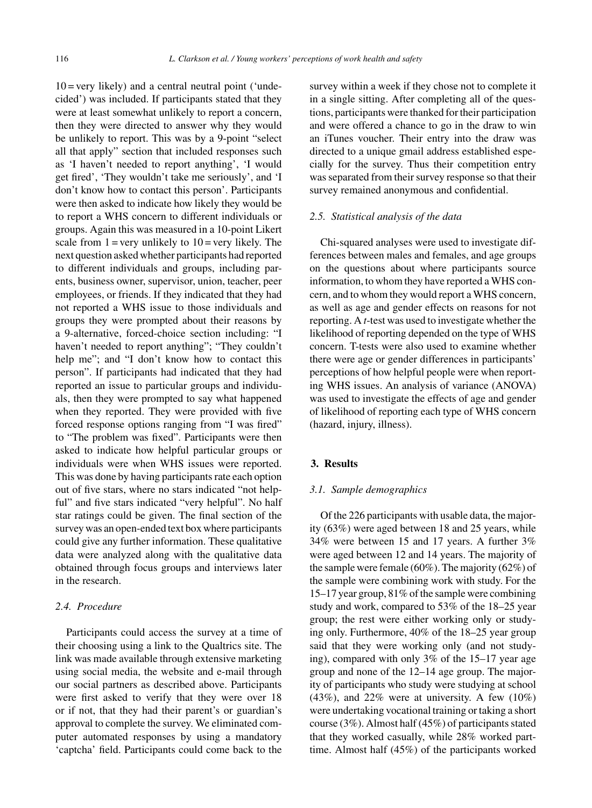$10 = \text{very likely}$ ) and a central neutral point ('undecided') was included. If participants stated that they were at least somewhat unlikely to report a concern, then they were directed to answer why they would be unlikely to report. This was by a 9-point "select all that apply" section that included responses such as 'I haven't needed to report anything', 'I would get fired', 'They wouldn't take me seriously', and 'I don't know how to contact this person'. Participants were then asked to indicate how likely they would be to report a WHS concern to different individuals or groups. Again this was measured in a 10-point Likert scale from  $1 = \text{very unlikely to } 10 = \text{very likely.}$  The next question asked whether participants had reported to different individuals and groups, including parents, business owner, supervisor, union, teacher, peer employees, or friends. If they indicated that they had not reported a WHS issue to those individuals and groups they were prompted about their reasons by a 9-alternative, forced-choice section including: "I haven't needed to report anything"; "They couldn't help me"; and "I don't know how to contact this person". If participants had indicated that they had reported an issue to particular groups and individuals, then they were prompted to say what happened when they reported. They were provided with five forced response options ranging from "I was fired" to "The problem was fixed". Participants were then asked to indicate how helpful particular groups or individuals were when WHS issues were reported. This was done by having participants rate each option out of five stars, where no stars indicated "not helpful" and five stars indicated "very helpful". No half star ratings could be given. The final section of the survey was an open-ended text box where participants could give any further information. These qualitative data were analyzed along with the qualitative data obtained through focus groups and interviews later in the research.

## *2.4. Procedure*

Participants could access the survey at a time of their choosing using a link to the Qualtrics site. The link was made available through extensive marketing using social media, the website and e-mail through our social partners as described above. Participants were first asked to verify that they were over 18 or if not, that they had their parent's or guardian's approval to complete the survey. We eliminated computer automated responses by using a mandatory 'captcha' field. Participants could come back to the

survey within a week if they chose not to complete it in a single sitting. After completing all of the questions, participants were thanked for their participation and were offered a chance to go in the draw to win an iTunes voucher. Their entry into the draw was directed to a unique gmail address established especially for the survey. Thus their competition entry was separated from their survey response so that their survey remained anonymous and confidential.

#### *2.5. Statistical analysis of the data*

Chi-squared analyses were used to investigate differences between males and females, and age groups on the questions about where participants source information, to whom they have reported a WHS concern, and to whom they would report a WHS concern, as well as age and gender effects on reasons for not reporting. A *t*-test was used to investigate whether the likelihood of reporting depended on the type of WHS concern. T-tests were also used to examine whether there were age or gender differences in participants' perceptions of how helpful people were when reporting WHS issues. An analysis of variance (ANOVA) was used to investigate the effects of age and gender of likelihood of reporting each type of WHS concern (hazard, injury, illness).

#### **3. Results**

#### *3.1. Sample demographics*

Of the 226 participants with usable data, the majority (63%) were aged between 18 and 25 years, while 34% were between 15 and 17 years. A further 3% were aged between 12 and 14 years. The majority of the sample were female (60%). The majority (62%) of the sample were combining work with study. For the 15–17 year group, 81% of the sample were combining study and work, compared to 53% of the 18–25 year group; the rest were either working only or studying only. Furthermore, 40% of the 18–25 year group said that they were working only (and not studying), compared with only 3% of the 15–17 year age group and none of the 12–14 age group. The majority of participants who study were studying at school (43%), and 22% were at university. A few (10%) were undertaking vocational training or taking a short course (3%). Almost half (45%) of participants stated that they worked casually, while 28% worked parttime. Almost half (45%) of the participants worked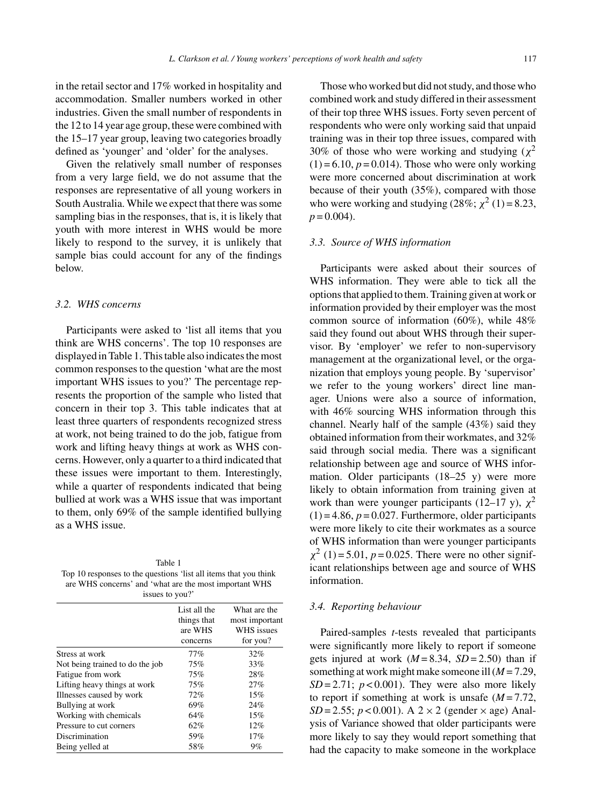in the retail sector and 17% worked in hospitality and accommodation. Smaller numbers worked in other industries. Given the small number of respondents in the 12 to 14 year age group, these were combined with the 15–17 year group, leaving two categories broadly defined as 'younger' and 'older' for the analyses.

Given the relatively small number of responses from a very large field, we do not assume that the responses are representative of all young workers in South Australia. While we expect that there was some sampling bias in the responses, that is, it is likely that youth with more interest in WHS would be more likely to respond to the survey, it is unlikely that sample bias could account for any of the findings below.

#### *3.2. WHS concerns*

Participants were asked to 'list all items that you think are WHS concerns'. The top 10 responses are displayed in Table 1. This table also indicates the most common responses to the question 'what are the most important WHS issues to you?' The percentage represents the proportion of the sample who listed that concern in their top 3. This table indicates that at least three quarters of respondents recognized stress at work, not being trained to do the job, fatigue from work and lifting heavy things at work as WHS concerns. However, only a quarter to a third indicated that these issues were important to them. Interestingly, while a quarter of respondents indicated that being bullied at work was a WHS issue that was important to them, only 69% of the sample identified bullying as a WHS issue.

Table 1 Top 10 responses to the questions 'list all items that you think are WHS concerns' and 'what are the most important WHS issues to you?'

|                                 | List all the<br>things that<br>are WHS<br>concerns | What are the<br>most important<br>WHS issues<br>for you? |
|---------------------------------|----------------------------------------------------|----------------------------------------------------------|
| Stress at work                  | 77%                                                | 32%                                                      |
| Not being trained to do the job | 75%                                                | 33%                                                      |
| Fatigue from work               | 75%                                                | 28%                                                      |
| Lifting heavy things at work    | 75%                                                | 27%                                                      |
| Illnesses caused by work        | 72%                                                | 15%                                                      |
| Bullying at work                | 69%                                                | 24%                                                      |
| Working with chemicals          | 64%                                                | 15%                                                      |
| Pressure to cut corners         | 62%                                                | 12%                                                      |
| Discrimination                  | 59%                                                | 17%                                                      |
| Being yelled at                 | 58%                                                | 9%                                                       |

Those who worked but did not study, and those who combined work and study differed in their assessment of their top three WHS issues. Forty seven percent of respondents who were only working said that unpaid training was in their top three issues, compared with 30% of those who were working and studying  $(\chi^2)$  $(1) = 6.10$ ,  $p = 0.014$ ). Those who were only working were more concerned about discrimination at work because of their youth (35%), compared with those who were working and studying (28%;  $\chi^2$  (1) = 8.23,  $p = 0.004$ .

#### *3.3. Source of WHS information*

Participants were asked about their sources of WHS information. They were able to tick all the options that applied to them. Training given at work or information provided by their employer was the most common source of information (60%), while 48% said they found out about WHS through their supervisor. By 'employer' we refer to non-supervisory management at the organizational level, or the organization that employs young people. By 'supervisor' we refer to the young workers' direct line manager. Unions were also a source of information, with 46% sourcing WHS information through this channel. Nearly half of the sample (43%) said they obtained information from their workmates, and 32% said through social media. There was a significant relationship between age and source of WHS information. Older participants (18–25 y) were more likely to obtain information from training given at work than were younger participants (12–17 y),  $\chi^2$  $(1) = 4.86$ ,  $p = 0.027$ . Furthermore, older participants were more likely to cite their workmates as a source of WHS information than were younger participants  $\chi^2$  (1) = 5.01, *p* = 0.025. There were no other significant relationships between age and source of WHS information.

#### *3.4. Reporting behaviour*

Paired-samples *t*-tests revealed that participants were significantly more likely to report if someone gets injured at work  $(M = 8.34, SD = 2.50)$  than if something at work might make someone ill (*M* = 7.29,  $SD = 2.71$ ;  $p < 0.001$ ). They were also more likely to report if something at work is unsafe  $(M=7.72)$ , *SD* = 2.55;  $p$  < 0.001). A 2 × 2 (gender × age) Analysis of Variance showed that older participants were more likely to say they would report something that had the capacity to make someone in the workplace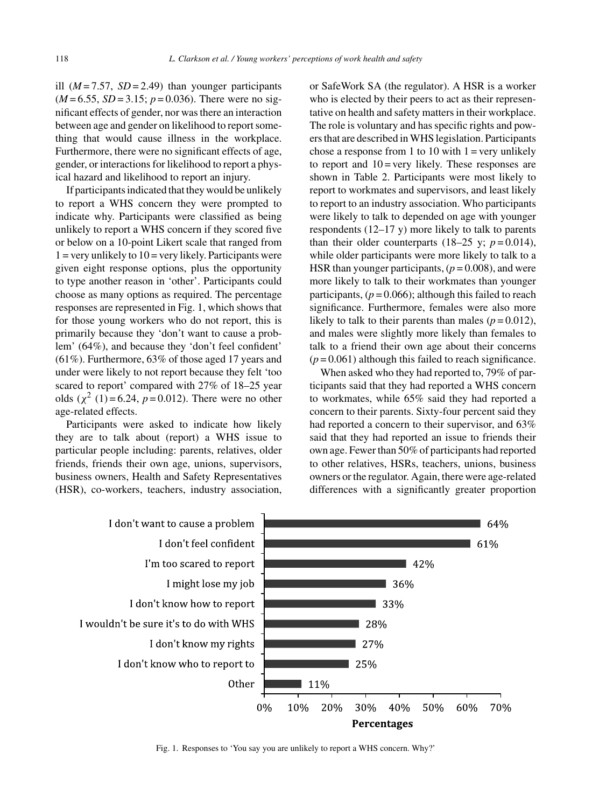ill  $(M=7.57, SD=2.49)$  than younger participants  $(M = 6.55, SD = 3.15; p = 0.036)$ . There were no significant effects of gender, nor was there an interaction between age and gender on likelihood to report something that would cause illness in the workplace. Furthermore, there were no significant effects of age, gender, or interactions for likelihood to report a physical hazard and likelihood to report an injury.

If participants indicated that they would be unlikely to report a WHS concern they were prompted to indicate why. Participants were classified as being unlikely to report a WHS concern if they scored five or below on a 10-point Likert scale that ranged from  $1 =$  very unlikely to  $10 =$  very likely. Participants were given eight response options, plus the opportunity to type another reason in 'other'. Participants could choose as many options as required. The percentage responses are represented in Fig. 1, which shows that for those young workers who do not report, this is primarily because they 'don't want to cause a problem' (64%), and because they 'don't feel confident' (61%). Furthermore, 63% of those aged 17 years and under were likely to not report because they felt 'too scared to report' compared with 27% of 18–25 year olds  $(\chi^2 (1) = 6.24, p = 0.012)$ . There were no other age-related effects.

Participants were asked to indicate how likely they are to talk about (report) a WHS issue to particular people including: parents, relatives, older friends, friends their own age, unions, supervisors, business owners, Health and Safety Representatives (HSR), co-workers, teachers, industry association,

or SafeWork SA (the regulator). A HSR is a worker who is elected by their peers to act as their representative on health and safety matters in their workplace. The role is voluntary and has specific rights and powers that are described in WHS legislation. Participants chose a response from 1 to 10 with  $1 = \text{very unlikely}$ to report and  $10 = \text{very likely}$ . These responses are shown in Table 2. Participants were most likely to report to workmates and supervisors, and least likely to report to an industry association. Who participants were likely to talk to depended on age with younger respondents (12–17 y) more likely to talk to parents than their older counterparts (18–25 y;  $p = 0.014$ ), while older participants were more likely to talk to a HSR than younger participants,  $(p=0.008)$ , and were more likely to talk to their workmates than younger participants,  $(p = 0.066)$ ; although this failed to reach significance. Furthermore, females were also more likely to talk to their parents than males  $(p=0.012)$ , and males were slightly more likely than females to talk to a friend their own age about their concerns  $(p = 0.061)$  although this failed to reach significance.

When asked who they had reported to, 79% of participants said that they had reported a WHS concern to workmates, while 65% said they had reported a concern to their parents. Sixty-four percent said they had reported a concern to their supervisor, and 63% said that they had reported an issue to friends their own age. Fewer than 50% of participants had reported to other relatives, HSRs, teachers, unions, business owners or the regulator. Again, there were age-related differences with a significantly greater proportion



Fig. 1. Responses to 'You say you are unlikely to report a WHS concern. Why?'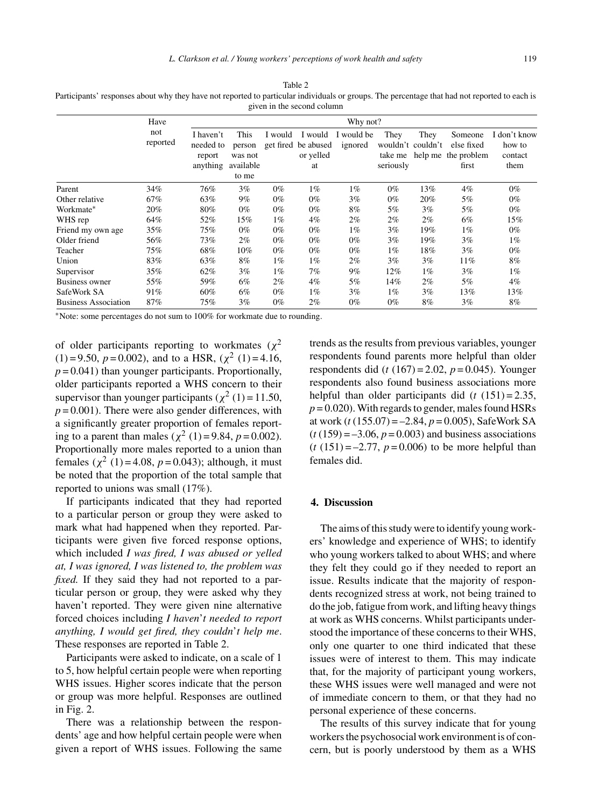Table 2 Participants' responses about why they have not reported to particular individuals or groups. The percentage that had not reported to each is given in the second column

|                             | Have<br>not<br>reported | Why not?                                     |                                                 |         |                                                   |                       |                                                   |       |                                                       |                                           |
|-----------------------------|-------------------------|----------------------------------------------|-------------------------------------------------|---------|---------------------------------------------------|-----------------------|---------------------------------------------------|-------|-------------------------------------------------------|-------------------------------------------|
|                             |                         | I haven't<br>needed to<br>report<br>anything | This<br>person<br>was not<br>available<br>to me | I would | I would<br>get fired be abused<br>or yelled<br>at | I would be<br>ignored | They<br>wouldn't couldn't<br>take me<br>seriously | They  | Someone<br>else fixed<br>help me the problem<br>first | I don't know<br>how to<br>contact<br>them |
| Parent                      | 34%                     | 76%                                          | 3%                                              | $0\%$   | $1\%$                                             | $1\%$                 | $0\%$                                             | 13%   | $4\%$                                                 | $0\%$                                     |
| Other relative              | 67%                     | 63%                                          | 9%                                              | $0\%$   | $0\%$                                             | 3%                    | $0\%$                                             | 20%   | 5%                                                    | $0\%$                                     |
| Workmate*                   | 20%                     | 80%                                          | $0\%$                                           | $0\%$   | $0\%$                                             | 8%                    | 5%                                                | 3%    | 5%                                                    | $0\%$                                     |
| WHS rep                     | 64%                     | 52%                                          | 15%                                             | $1\%$   | $4\%$                                             | 2%                    | $2\%$                                             | 2%    | 6%                                                    | 15%                                       |
| Friend my own age           | 35%                     | 75%                                          | $0\%$                                           | $0\%$   | $0\%$                                             | $1\%$                 | 3%                                                | 19%   | $1\%$                                                 | $0\%$                                     |
| Older friend                | 56%                     | 73%                                          | $2\%$                                           | $0\%$   | $0\%$                                             | $0\%$                 | 3%                                                | 19%   | 3%                                                    | $1\%$                                     |
| Teacher                     | 75%                     | 68%                                          | $10\%$                                          | $0\%$   | $0\%$                                             | $0\%$                 | $1\%$                                             | 18%   | 3%                                                    | $0\%$                                     |
| Union                       | 83%                     | 63%                                          | 8%                                              | $1\%$   | $1\%$                                             | $2\%$                 | $3\%$                                             | 3%    | 11%                                                   | 8%                                        |
| Supervisor                  | 35%                     | 62%                                          | 3%                                              | $1\%$   | 7%                                                | $9\%$                 | 12%                                               | $1\%$ | $3\%$                                                 | $1\%$                                     |
| Business owner              | 55%                     | 59%                                          | 6%                                              | 2%      | $4\%$                                             | 5%                    | 14%                                               | $2\%$ | 5%                                                    | $4\%$                                     |
| SafeWork SA                 | 91%                     | 60%                                          | 6%                                              | $0\%$   | $1\%$                                             | $3\%$                 | $1\%$                                             | 3%    | 13%                                                   | 13%                                       |
| <b>Business Association</b> | 87%                     | 75%                                          | 3%                                              | $0\%$   | 2%                                                | $0\%$                 | $0\%$                                             | 8%    | 3%                                                    | 8%                                        |

∗Note: some percentages do not sum to 100% for workmate due to rounding.

of older participants reporting to workmates  $(\chi^2)$  $(1) = 9.50, p = 0.002$ , and to a HSR,  $(\chi^2 (1) = 4.16,$  $p = 0.041$ ) than younger participants. Proportionally, older participants reported a WHS concern to their supervisor than younger participants ( $\chi^2$  (1) = 11.50,  $p = 0.001$ ). There were also gender differences, with a significantly greater proportion of females reporting to a parent than males ( $\chi^2$  (1) = 9.84, *p* = 0.002). Proportionally more males reported to a union than females  $(\chi^2 (1) = 4.08, p = 0.043)$ ; although, it must be noted that the proportion of the total sample that reported to unions was small (17%).

If participants indicated that they had reported to a particular person or group they were asked to mark what had happened when they reported. Participants were given five forced response options, which included *I was fired, I was abused or yelled at, I was ignored, I was listened to, the problem was fixed.* If they said they had not reported to a particular person or group, they were asked why they haven't reported. They were given nine alternative forced choices including *I haven*'*t needed to report anything, I would get fired, they couldn*'*t help me*. These responses are reported in Table 2.

Participants were asked to indicate, on a scale of 1 to 5, how helpful certain people were when reporting WHS issues. Higher scores indicate that the person or group was more helpful. Responses are outlined in Fig. 2.

There was a relationship between the respondents' age and how helpful certain people were when given a report of WHS issues. Following the same

trends as the results from previous variables, younger respondents found parents more helpful than older respondents did ( $t(167) = 2.02$ ,  $p = 0.045$ ). Younger respondents also found business associations more helpful than older participants did  $(t (151)=2.35)$ ,  $p = 0.020$ . With regards to gender, males found HSRs at work (*t* (155.07) = –2.84, *p* = 0.005), SafeWork SA  $(t (159) = -3.06, p = 0.003)$  and business associations  $(t (151) = -2.77, p = 0.006)$  to be more helpful than females did.

#### **4. Discussion**

The aims of this study were to identify young workers' knowledge and experience of WHS; to identify who young workers talked to about WHS; and where they felt they could go if they needed to report an issue. Results indicate that the majority of respondents recognized stress at work, not being trained to do the job, fatigue from work, and lifting heavy things at work as WHS concerns. Whilst participants understood the importance of these concerns to their WHS, only one quarter to one third indicated that these issues were of interest to them. This may indicate that, for the majority of participant young workers, these WHS issues were well managed and were not of immediate concern to them, or that they had no personal experience of these concerns.

The results of this survey indicate that for young workers the psychosocial work environment is of concern, but is poorly understood by them as a WHS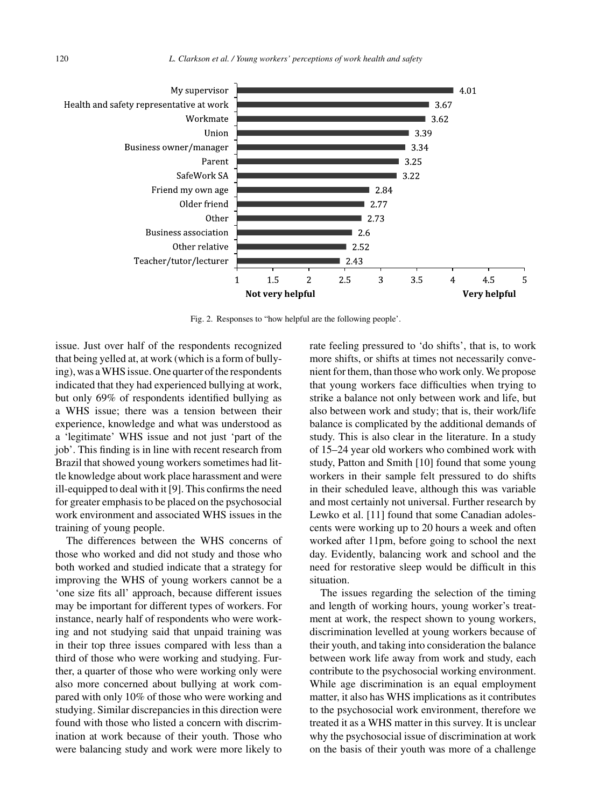

Fig. 2. Responses to "how helpful are the following people'.

issue. Just over half of the respondents recognized that being yelled at, at work (which is a form of bullying), was a WHS issue. One quarter of the respondents indicated that they had experienced bullying at work, but only 69% of respondents identified bullying as a WHS issue; there was a tension between their experience, knowledge and what was understood as a 'legitimate' WHS issue and not just 'part of the job'. This finding is in line with recent research from Brazil that showed young workers sometimes had little knowledge about work place harassment and were ill-equipped to deal with it [9]. This confirms the need for greater emphasis to be placed on the psychosocial work environment and associated WHS issues in the training of young people.

The differences between the WHS concerns of those who worked and did not study and those who both worked and studied indicate that a strategy for improving the WHS of young workers cannot be a 'one size fits all' approach, because different issues may be important for different types of workers. For instance, nearly half of respondents who were working and not studying said that unpaid training was in their top three issues compared with less than a third of those who were working and studying. Further, a quarter of those who were working only were also more concerned about bullying at work compared with only 10% of those who were working and studying. Similar discrepancies in this direction were found with those who listed a concern with discrimination at work because of their youth. Those who were balancing study and work were more likely to

rate feeling pressured to 'do shifts', that is, to work more shifts, or shifts at times not necessarily convenient for them, than those who work only. We propose that young workers face difficulties when trying to strike a balance not only between work and life, but also between work and study; that is, their work/life balance is complicated by the additional demands of study. This is also clear in the literature. In a study of 15–24 year old workers who combined work with study, Patton and Smith [10] found that some young workers in their sample felt pressured to do shifts in their scheduled leave, although this was variable and most certainly not universal. Further research by Lewko et al. [11] found that some Canadian adolescents were working up to 20 hours a week and often worked after 11pm, before going to school the next day. Evidently, balancing work and school and the need for restorative sleep would be difficult in this situation.

The issues regarding the selection of the timing and length of working hours, young worker's treatment at work, the respect shown to young workers, discrimination levelled at young workers because of their youth, and taking into consideration the balance between work life away from work and study, each contribute to the psychosocial working environment. While age discrimination is an equal employment matter, it also has WHS implications as it contributes to the psychosocial work environment, therefore we treated it as a WHS matter in this survey. It is unclear why the psychosocial issue of discrimination at work on the basis of their youth was more of a challenge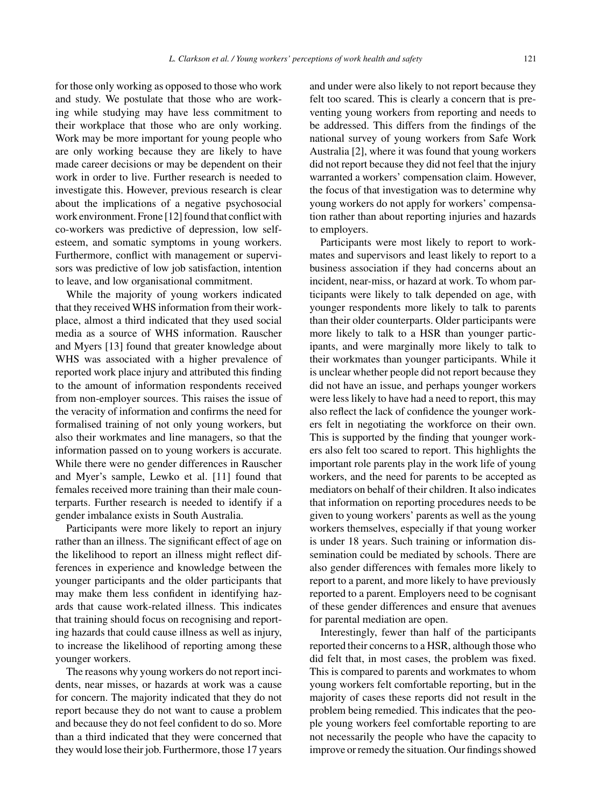for those only working as opposed to those who work and study. We postulate that those who are working while studying may have less commitment to their workplace that those who are only working. Work may be more important for young people who are only working because they are likely to have made career decisions or may be dependent on their work in order to live. Further research is needed to investigate this. However, previous research is clear about the implications of a negative psychosocial work environment. Frone [12] found that conflict with co-workers was predictive of depression, low selfesteem, and somatic symptoms in young workers. Furthermore, conflict with management or supervisors was predictive of low job satisfaction, intention to leave, and low organisational commitment.

While the majority of young workers indicated that they received WHS information from their workplace, almost a third indicated that they used social media as a source of WHS information. Rauscher and Myers [13] found that greater knowledge about WHS was associated with a higher prevalence of reported work place injury and attributed this finding to the amount of information respondents received from non-employer sources. This raises the issue of the veracity of information and confirms the need for formalised training of not only young workers, but also their workmates and line managers, so that the information passed on to young workers is accurate. While there were no gender differences in Rauscher and Myer's sample, Lewko et al. [11] found that females received more training than their male counterparts. Further research is needed to identify if a gender imbalance exists in South Australia.

Participants were more likely to report an injury rather than an illness. The significant effect of age on the likelihood to report an illness might reflect differences in experience and knowledge between the younger participants and the older participants that may make them less confident in identifying hazards that cause work-related illness. This indicates that training should focus on recognising and reporting hazards that could cause illness as well as injury, to increase the likelihood of reporting among these younger workers.

The reasons why young workers do not report incidents, near misses, or hazards at work was a cause for concern. The majority indicated that they do not report because they do not want to cause a problem and because they do not feel confident to do so. More than a third indicated that they were concerned that they would lose their job. Furthermore, those 17 years and under were also likely to not report because they felt too scared. This is clearly a concern that is preventing young workers from reporting and needs to be addressed. This differs from the findings of the national survey of young workers from Safe Work Australia [2], where it was found that young workers did not report because they did not feel that the injury warranted a workers' compensation claim. However, the focus of that investigation was to determine why young workers do not apply for workers' compensation rather than about reporting injuries and hazards to employers.

Participants were most likely to report to workmates and supervisors and least likely to report to a business association if they had concerns about an incident, near-miss, or hazard at work. To whom participants were likely to talk depended on age, with younger respondents more likely to talk to parents than their older counterparts. Older participants were more likely to talk to a HSR than younger participants, and were marginally more likely to talk to their workmates than younger participants. While it is unclear whether people did not report because they did not have an issue, and perhaps younger workers were less likely to have had a need to report, this may also reflect the lack of confidence the younger workers felt in negotiating the workforce on their own. This is supported by the finding that younger workers also felt too scared to report. This highlights the important role parents play in the work life of young workers, and the need for parents to be accepted as mediators on behalf of their children. It also indicates that information on reporting procedures needs to be given to young workers' parents as well as the young workers themselves, especially if that young worker is under 18 years. Such training or information dissemination could be mediated by schools. There are also gender differences with females more likely to report to a parent, and more likely to have previously reported to a parent. Employers need to be cognisant of these gender differences and ensure that avenues for parental mediation are open.

Interestingly, fewer than half of the participants reported their concerns to a HSR, although those who did felt that, in most cases, the problem was fixed. This is compared to parents and workmates to whom young workers felt comfortable reporting, but in the majority of cases these reports did not result in the problem being remedied. This indicates that the people young workers feel comfortable reporting to are not necessarily the people who have the capacity to improve or remedy the situation. Our findings showed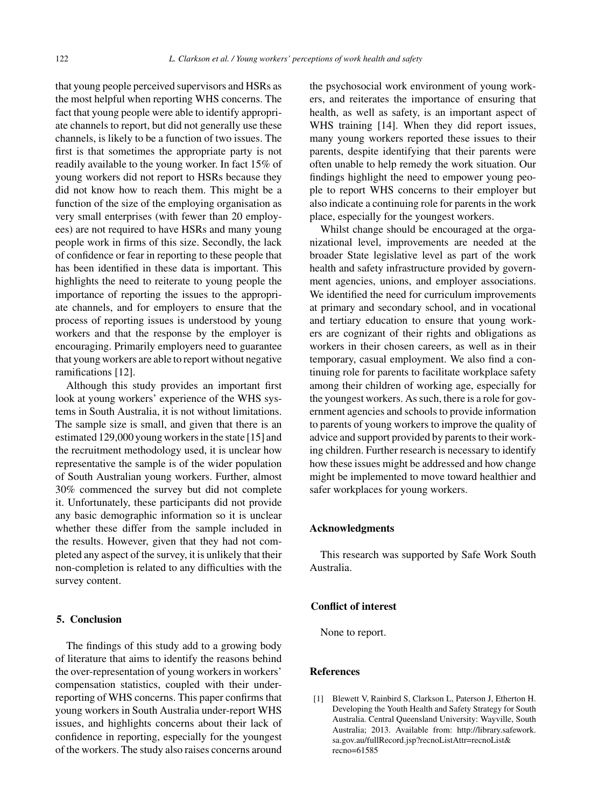that young people perceived supervisors and HSRs as the most helpful when reporting WHS concerns. The fact that young people were able to identify appropriate channels to report, but did not generally use these channels, is likely to be a function of two issues. The first is that sometimes the appropriate party is not readily available to the young worker. In fact 15% of young workers did not report to HSRs because they did not know how to reach them. This might be a function of the size of the employing organisation as very small enterprises (with fewer than 20 employees) are not required to have HSRs and many young people work in firms of this size. Secondly, the lack of confidence or fear in reporting to these people that has been identified in these data is important. This highlights the need to reiterate to young people the importance of reporting the issues to the appropriate channels, and for employers to ensure that the process of reporting issues is understood by young workers and that the response by the employer is encouraging. Primarily employers need to guarantee that young workers are able to report without negative ramifications [12].

Although this study provides an important first look at young workers' experience of the WHS systems in South Australia, it is not without limitations. The sample size is small, and given that there is an estimated 129,000 young workers in the state [15] and the recruitment methodology used, it is unclear how representative the sample is of the wider population of South Australian young workers. Further, almost 30% commenced the survey but did not complete it. Unfortunately, these participants did not provide any basic demographic information so it is unclear whether these differ from the sample included in the results. However, given that they had not completed any aspect of the survey, it is unlikely that their non-completion is related to any difficulties with the survey content.

#### **5. Conclusion**

The findings of this study add to a growing body of literature that aims to identify the reasons behind the over-representation of young workers in workers' compensation statistics, coupled with their underreporting of WHS concerns. This paper confirms that young workers in South Australia under-report WHS issues, and highlights concerns about their lack of confidence in reporting, especially for the youngest of the workers. The study also raises concerns around the psychosocial work environment of young workers, and reiterates the importance of ensuring that health, as well as safety, is an important aspect of WHS training [14]. When they did report issues, many young workers reported these issues to their parents, despite identifying that their parents were often unable to help remedy the work situation. Our findings highlight the need to empower young people to report WHS concerns to their employer but also indicate a continuing role for parents in the work place, especially for the youngest workers.

Whilst change should be encouraged at the organizational level, improvements are needed at the broader State legislative level as part of the work health and safety infrastructure provided by government agencies, unions, and employer associations. We identified the need for curriculum improvements at primary and secondary school, and in vocational and tertiary education to ensure that young workers are cognizant of their rights and obligations as workers in their chosen careers, as well as in their temporary, casual employment. We also find a continuing role for parents to facilitate workplace safety among their children of working age, especially for the youngest workers. As such, there is a role for government agencies and schools to provide information to parents of young workers to improve the quality of advice and support provided by parents to their working children. Further research is necessary to identify how these issues might be addressed and how change might be implemented to move toward healthier and safer workplaces for young workers.

#### **Acknowledgments**

This research was supported by Safe Work South Australia.

## **Conflict of interest**

None to report.

#### **References**

[1] Blewett V, Rainbird S, Clarkson L, Paterson J, Etherton H. Developing the Youth Health and Safety Strategy for South Australia. Central Queensland University: Wayville, South Australia; 2013. Available from: [http://library.safework.](http://library.safework.sa.gov.au/fullRecord.jsp?recnoListAttr=recnoList&recno=61585) [sa.gov.au/fullRecord.jsp?recnoListAttr=recnoList&](http://library.safework.sa.gov.au/fullRecord.jsp?recnoListAttr=recnoList&recno=61585) [recno=61585](http://library.safework.sa.gov.au/fullRecord.jsp?recnoListAttr=recnoList&recno=61585)